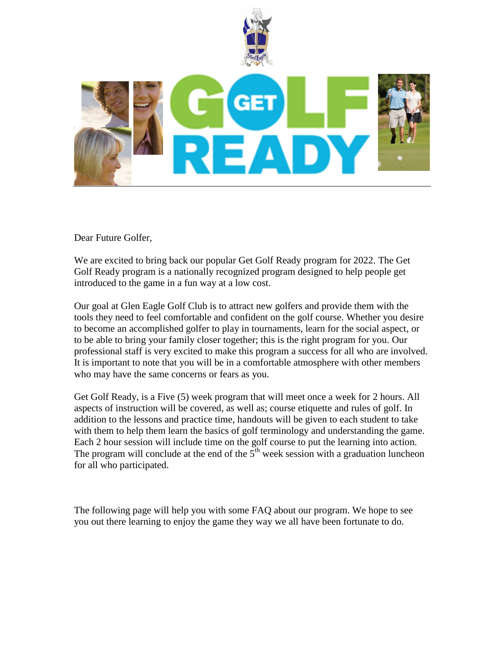



Dear Future Golfer,

We are excited to bring back our popular Get Golf Ready program for 2022. The Get Golf Ready program is a nationally recognized program designed to help people get introduced to the game in a fun way at a low cost.

Our goal at Glen Eagle Golf Club is to attract new golfers and provide them with the tools they need to feel comfortable and confident on the golf course. Whether you desire to become an accomplished golfer to play in tournaments, learn for the social aspect, or to be able to bring your family closer together; this is the right program for you. Our professional staff is very excited to make this program a success for all who are involved. It is important to note that you will be in a comfortable atmosphere with other members who may have the same concerns or fears as you.

Get Golf Ready, is a Five (5) week program that will meet once a week for 2 hours. All aspects of instruction will be covered, as well as; course etiquette and rules of golf. In addition to the lessons and practice time, handouts will be given to each student to take with them to help them learn the basics of golf terminology and understanding the game. Each 2 hour session will include time on the golf course to put the learning into action. The program will conclude at the end of the  $5<sup>th</sup>$  week session with a graduation luncheon for all who participated.

The following page will help you with some FAQ about our program. We hope to see you out there learning to enjoy the game they way we all have been fortunate to do.